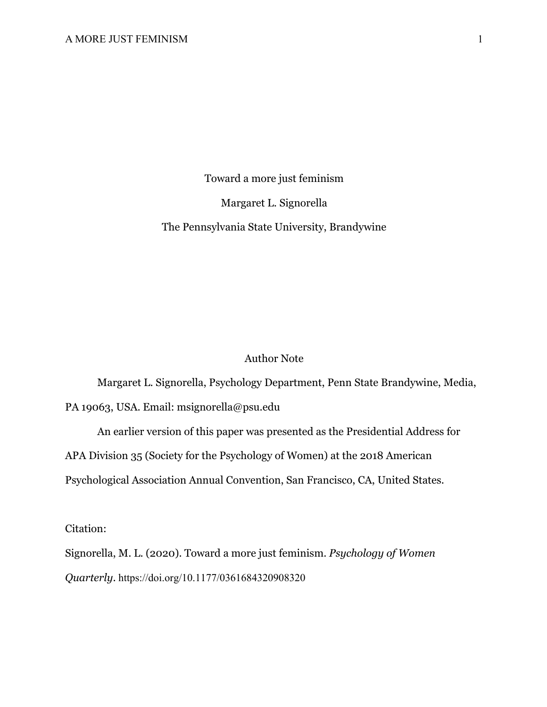Toward a more just feminism

Margaret L. Signorella

The Pennsylvania State University, Brandywine

# Author Note

Margaret L. Signorella, Psychology Department, Penn State Brandywine, Media, PA 19063, USA. Email: msignorella@psu.edu

An earlier version of this paper was presented as the Presidential Address for APA Division 35 (Society for the Psychology of Women) at the 2018 American Psychological Association Annual Convention, San Francisco, CA, United States.

Citation:

Signorella, M. L. (2020). Toward a more just feminism. *Psychology of Women Quarterly*. https://doi.org/10.1177/0361684320908320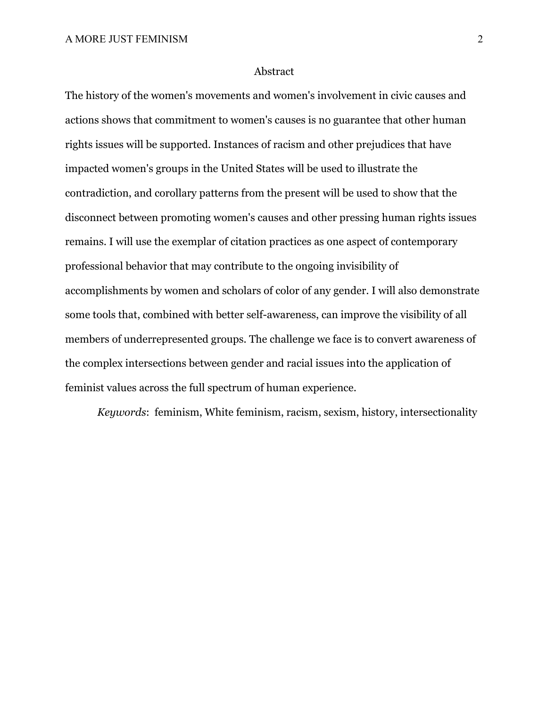#### Abstract

The history of the women's movements and women's involvement in civic causes and actions shows that commitment to women's causes is no guarantee that other human rights issues will be supported. Instances of racism and other prejudices that have impacted women's groups in the United States will be used to illustrate the contradiction, and corollary patterns from the present will be used to show that the disconnect between promoting women's causes and other pressing human rights issues remains. I will use the exemplar of citation practices as one aspect of contemporary professional behavior that may contribute to the ongoing invisibility of accomplishments by women and scholars of color of any gender. I will also demonstrate some tools that, combined with better self-awareness, can improve the visibility of all members of underrepresented groups. The challenge we face is to convert awareness of the complex intersections between gender and racial issues into the application of feminist values across the full spectrum of human experience.

*Keywords*: feminism, White feminism, racism, sexism, history, intersectionality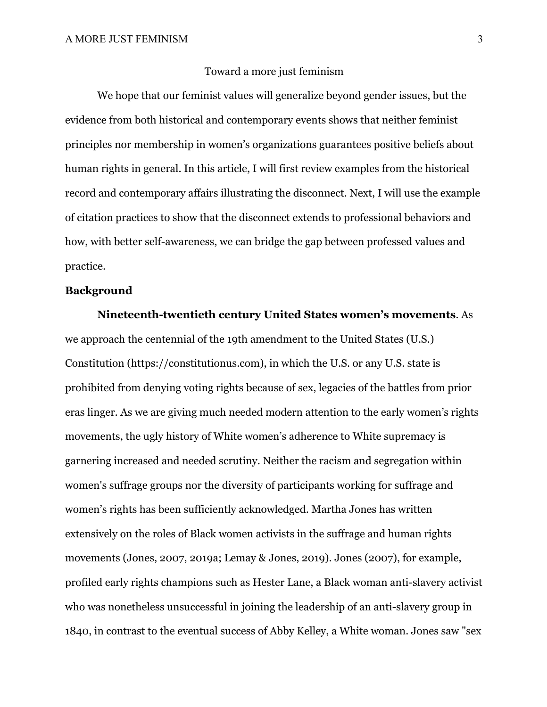#### Toward a more just feminism

We hope that our feminist values will generalize beyond gender issues, but the evidence from both historical and contemporary events shows that neither feminist principles nor membership in women's organizations guarantees positive beliefs about human rights in general. In this article, I will first review examples from the historical record and contemporary affairs illustrating the disconnect. Next, I will use the example of citation practices to show that the disconnect extends to professional behaviors and how, with better self-awareness, we can bridge the gap between professed values and practice.

# **Background**

**Nineteenth-twentieth century United States women's movements**. As we approach the centennial of the 19th amendment to the United States (U.S.) Constitution (https://constitutionus.com), in which the U.S. or any U.S. state is prohibited from denying voting rights because of sex, legacies of the battles from prior eras linger. As we are giving much needed modern attention to the early women's rights movements, the ugly history of White women's adherence to White supremacy is garnering increased and needed scrutiny. Neither the racism and segregation within women's suffrage groups nor the diversity of participants working for suffrage and women's rights has been sufficiently acknowledged. Martha Jones has written extensively on the roles of Black women activists in the suffrage and human rights movements (Jones, 2007, 2019a; Lemay & Jones, 2019). Jones (2007), for example, profiled early rights champions such as Hester Lane, a Black woman anti-slavery activist who was nonetheless unsuccessful in joining the leadership of an anti-slavery group in 1840, in contrast to the eventual success of Abby Kelley, a White woman. Jones saw "sex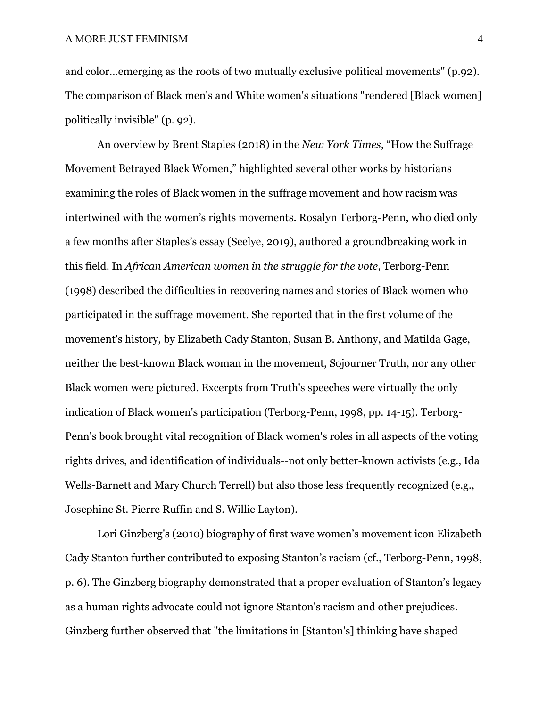and color...emerging as the roots of two mutually exclusive political movements" (p.92). The comparison of Black men's and White women's situations "rendered [Black women] politically invisible" (p. 92).

An overview by Brent Staples (2018) in the *New York Times*, "How the Suffrage Movement Betrayed Black Women," highlighted several other works by historians examining the roles of Black women in the suffrage movement and how racism was intertwined with the women's rights movements. Rosalyn Terborg-Penn, who died only a few months after Staples's essay (Seelye, 2019), authored a groundbreaking work in this field. In *African American women in the struggle for the vote*, Terborg-Penn (1998) described the difficulties in recovering names and stories of Black women who participated in the suffrage movement. She reported that in the first volume of the movement's history, by Elizabeth Cady Stanton, Susan B. Anthony, and Matilda Gage, neither the best-known Black woman in the movement, Sojourner Truth, nor any other Black women were pictured. Excerpts from Truth's speeches were virtually the only indication of Black women's participation (Terborg-Penn, 1998, pp. 14-15). Terborg-Penn's book brought vital recognition of Black women's roles in all aspects of the voting rights drives, and identification of individuals--not only better-known activists (e.g., Ida Wells-Barnett and Mary Church Terrell) but also those less frequently recognized (e.g., Josephine St. Pierre Ruffin and S. Willie Layton).

Lori Ginzberg's (2010) biography of first wave women's movement icon Elizabeth Cady Stanton further contributed to exposing Stanton's racism (cf., Terborg-Penn, 1998, p. 6). The Ginzberg biography demonstrated that a proper evaluation of Stanton's legacy as a human rights advocate could not ignore Stanton's racism and other prejudices. Ginzberg further observed that "the limitations in [Stanton's] thinking have shaped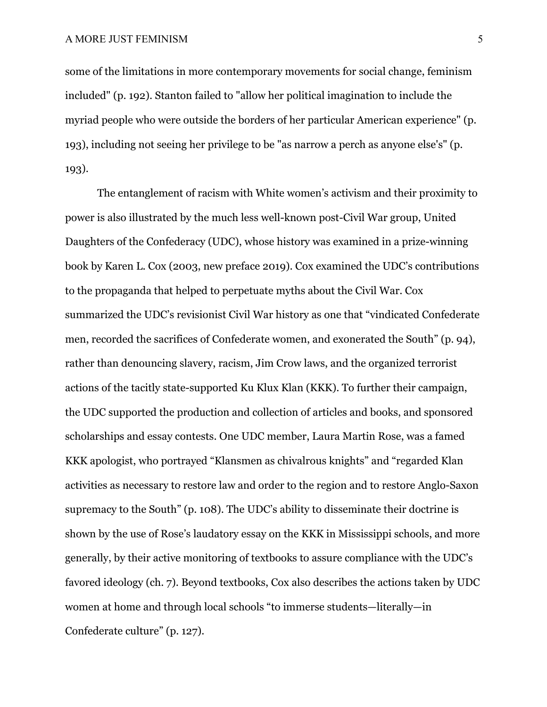some of the limitations in more contemporary movements for social change, feminism included" (p. 192). Stanton failed to "allow her political imagination to include the myriad people who were outside the borders of her particular American experience" (p. 193), including not seeing her privilege to be "as narrow a perch as anyone else's" (p. 193).

The entanglement of racism with White women's activism and their proximity to power is also illustrated by the much less well-known post-Civil War group, United Daughters of the Confederacy (UDC), whose history was examined in a prize-winning book by Karen L. Cox (2003, new preface 2019). Cox examined the UDC's contributions to the propaganda that helped to perpetuate myths about the Civil War. Cox summarized the UDC's revisionist Civil War history as one that "vindicated Confederate men, recorded the sacrifices of Confederate women, and exonerated the South" (p. 94), rather than denouncing slavery, racism, Jim Crow laws, and the organized terrorist actions of the tacitly state-supported Ku Klux Klan (KKK). To further their campaign, the UDC supported the production and collection of articles and books, and sponsored scholarships and essay contests. One UDC member, Laura Martin Rose, was a famed KKK apologist, who portrayed "Klansmen as chivalrous knights" and "regarded Klan activities as necessary to restore law and order to the region and to restore Anglo-Saxon supremacy to the South" (p. 108). The UDC's ability to disseminate their doctrine is shown by the use of Rose's laudatory essay on the KKK in Mississippi schools, and more generally, by their active monitoring of textbooks to assure compliance with the UDC's favored ideology (ch. 7). Beyond textbooks, Cox also describes the actions taken by UDC women at home and through local schools "to immerse students—literally—in Confederate culture" (p. 127).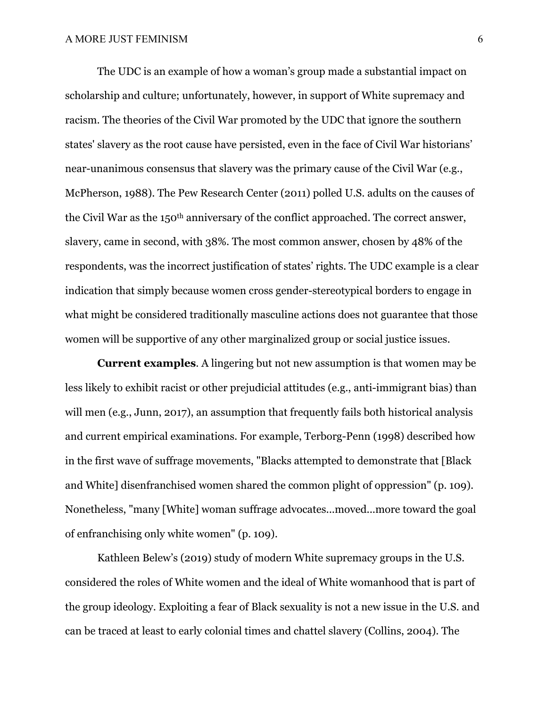The UDC is an example of how a woman's group made a substantial impact on scholarship and culture; unfortunately, however, in support of White supremacy and racism. The theories of the Civil War promoted by the UDC that ignore the southern states' slavery as the root cause have persisted, even in the face of Civil War historians' near-unanimous consensus that slavery was the primary cause of the Civil War (e.g., McPherson, 1988). The Pew Research Center (2011) polled U.S. adults on the causes of the Civil War as the 150th anniversary of the conflict approached. The correct answer, slavery, came in second, with 38%. The most common answer, chosen by 48% of the respondents, was the incorrect justification of states' rights. The UDC example is a clear indication that simply because women cross gender-stereotypical borders to engage in what might be considered traditionally masculine actions does not guarantee that those women will be supportive of any other marginalized group or social justice issues.

**Current examples**. A lingering but not new assumption is that women may be less likely to exhibit racist or other prejudicial attitudes (e.g., anti-immigrant bias) than will men (e.g., Junn, 2017), an assumption that frequently fails both historical analysis and current empirical examinations. For example, Terborg-Penn (1998) described how in the first wave of suffrage movements, "Blacks attempted to demonstrate that [Black and White] disenfranchised women shared the common plight of oppression" (p. 109). Nonetheless, "many [White] woman suffrage advocates...moved...more toward the goal of enfranchising only white women" (p. 109).

Kathleen Belew's (2019) study of modern White supremacy groups in the U.S. considered the roles of White women and the ideal of White womanhood that is part of the group ideology. Exploiting a fear of Black sexuality is not a new issue in the U.S. and can be traced at least to early colonial times and chattel slavery (Collins, 2004). The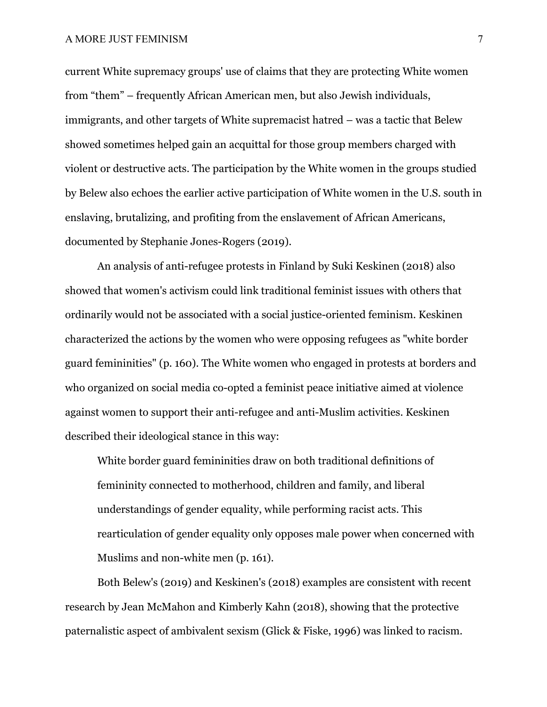## A MORE JUST FEMINISM 7

current White supremacy groups' use of claims that they are protecting White women from "them" – frequently African American men, but also Jewish individuals, immigrants, and other targets of White supremacist hatred – was a tactic that Belew showed sometimes helped gain an acquittal for those group members charged with violent or destructive acts. The participation by the White women in the groups studied by Belew also echoes the earlier active participation of White women in the U.S. south in enslaving, brutalizing, and profiting from the enslavement of African Americans, documented by Stephanie Jones-Rogers (2019).

An analysis of anti-refugee protests in Finland by Suki Keskinen (2018) also showed that women's activism could link traditional feminist issues with others that ordinarily would not be associated with a social justice-oriented feminism. Keskinen characterized the actions by the women who were opposing refugees as "white border guard femininities" (p. 160). The White women who engaged in protests at borders and who organized on social media co-opted a feminist peace initiative aimed at violence against women to support their anti-refugee and anti-Muslim activities. Keskinen described their ideological stance in this way:

White border guard femininities draw on both traditional definitions of femininity connected to motherhood, children and family, and liberal understandings of gender equality, while performing racist acts. This rearticulation of gender equality only opposes male power when concerned with Muslims and non-white men (p. 161).

Both Belew's (2019) and Keskinen's (2018) examples are consistent with recent research by Jean McMahon and Kimberly Kahn (2018), showing that the protective paternalistic aspect of ambivalent sexism (Glick & Fiske, 1996) was linked to racism.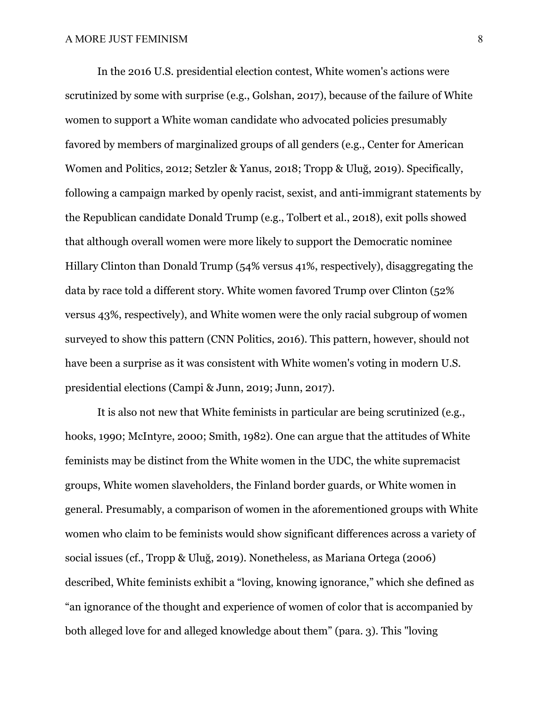In the 2016 U.S. presidential election contest, White women's actions were scrutinized by some with surprise (e.g., Golshan, 2017), because of the failure of White women to support a White woman candidate who advocated policies presumably favored by members of marginalized groups of all genders (e.g., Center for American Women and Politics, 2012; Setzler & Yanus, 2018; Tropp & Uluğ, 2019). Specifically, following a campaign marked by openly racist, sexist, and anti-immigrant statements by the Republican candidate Donald Trump (e.g., Tolbert et al., 2018), exit polls showed that although overall women were more likely to support the Democratic nominee Hillary Clinton than Donald Trump (54% versus 41%, respectively), disaggregating the data by race told a different story. White women favored Trump over Clinton (52% versus 43%, respectively), and White women were the only racial subgroup of women surveyed to show this pattern (CNN Politics, 2016). This pattern, however, should not have been a surprise as it was consistent with White women's voting in modern U.S. presidential elections (Campi & Junn, 2019; Junn, 2017).

It is also not new that White feminists in particular are being scrutinized (e.g., hooks, 1990; McIntyre, 2000; Smith, 1982). One can argue that the attitudes of White feminists may be distinct from the White women in the UDC, the white supremacist groups, White women slaveholders, the Finland border guards, or White women in general. Presumably, a comparison of women in the aforementioned groups with White women who claim to be feminists would show significant differences across a variety of social issues (cf., Tropp & Uluğ, 2019). Nonetheless, as Mariana Ortega (2006) described, White feminists exhibit a "loving, knowing ignorance," which she defined as "an ignorance of the thought and experience of women of color that is accompanied by both alleged love for and alleged knowledge about them" (para. 3). This "loving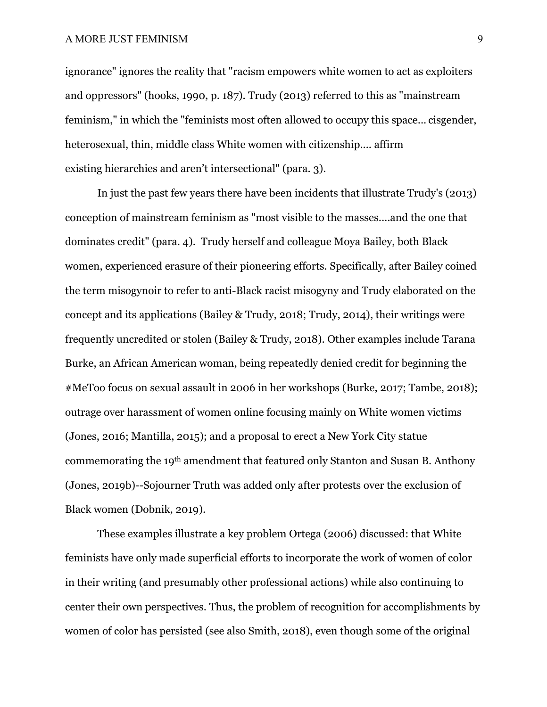## A MORE JUST FEMINISM 9

ignorance" ignores the reality that "racism empowers white women to act as exploiters and oppressors" (hooks, 1990, p. 187). Trudy (2013) referred to this as "mainstream feminism," in which the "feminists most often allowed to occupy this space... cisgender, heterosexual, thin, middle class White women with citizenship.... affirm existing hierarchies and aren't intersectional" (para. 3).

In just the past few years there have been incidents that illustrate Trudy's (2013) conception of mainstream feminism as "most visible to the masses....and the one that dominates credit" (para. 4). Trudy herself and colleague Moya Bailey, both Black women, experienced erasure of their pioneering efforts. Specifically, after Bailey coined the term misogynoir to refer to anti-Black racist misogyny and Trudy elaborated on the concept and its applications (Bailey & Trudy, 2018; Trudy, 2014), their writings were frequently uncredited or stolen (Bailey & Trudy, 2018). Other examples include Tarana Burke, an African American woman, being repeatedly denied credit for beginning the #MeToo focus on sexual assault in 2006 in her workshops (Burke, 2017; Tambe, 2018); outrage over harassment of women online focusing mainly on White women victims (Jones, 2016; Mantilla, 2015); and a proposal to erect a New York City statue commemorating the 19th amendment that featured only Stanton and Susan B. Anthony (Jones, 2019b)--Sojourner Truth was added only after protests over the exclusion of Black women (Dobnik, 2019).

These examples illustrate a key problem Ortega (2006) discussed: that White feminists have only made superficial efforts to incorporate the work of women of color in their writing (and presumably other professional actions) while also continuing to center their own perspectives. Thus, the problem of recognition for accomplishments by women of color has persisted (see also Smith, 2018), even though some of the original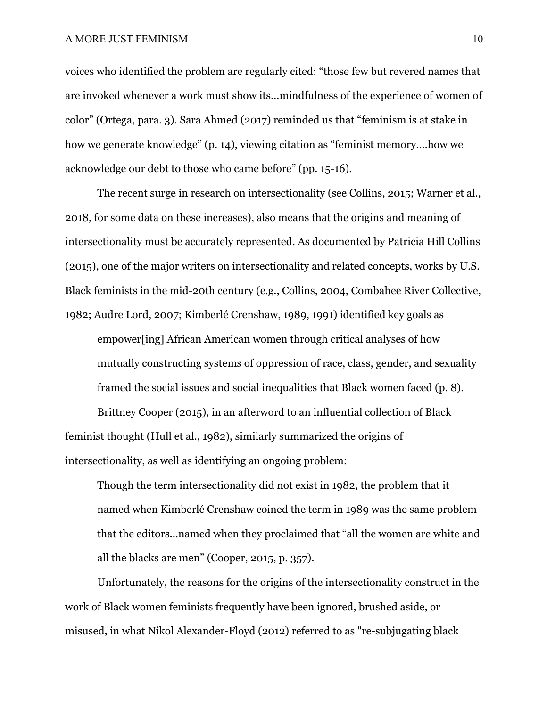voices who identified the problem are regularly cited: "those few but revered names that are invoked whenever a work must show its…mindfulness of the experience of women of color" (Ortega, para. 3). Sara Ahmed (2017) reminded us that "feminism is at stake in how we generate knowledge" (p. 14), viewing citation as "feminist memory….how we acknowledge our debt to those who came before" (pp. 15-16).

The recent surge in research on intersectionality (see Collins, 2015; Warner et al., 2018, for some data on these increases), also means that the origins and meaning of intersectionality must be accurately represented. As documented by Patricia Hill Collins (2015), one of the major writers on intersectionality and related concepts, works by U.S. Black feminists in the mid-20th century (e.g., Collins, 2004, Combahee River Collective, 1982; Audre Lord, 2007; Kimberlé Crenshaw, 1989, 1991) identified key goals as

empower[ing] African American women through critical analyses of how mutually constructing systems of oppression of race, class, gender, and sexuality framed the social issues and social inequalities that Black women faced (p. 8).

Brittney Cooper (2015), in an afterword to an influential collection of Black feminist thought (Hull et al., 1982), similarly summarized the origins of intersectionality, as well as identifying an ongoing problem:

Though the term intersectionality did not exist in 1982, the problem that it named when Kimberlé Crenshaw coined the term in 1989 was the same problem that the editors...named when they proclaimed that "all the women are white and all the blacks are men" (Cooper, 2015, p. 357).

Unfortunately, the reasons for the origins of the intersectionality construct in the work of Black women feminists frequently have been ignored, brushed aside, or misused, in what Nikol Alexander-Floyd (2012) referred to as "re-subjugating black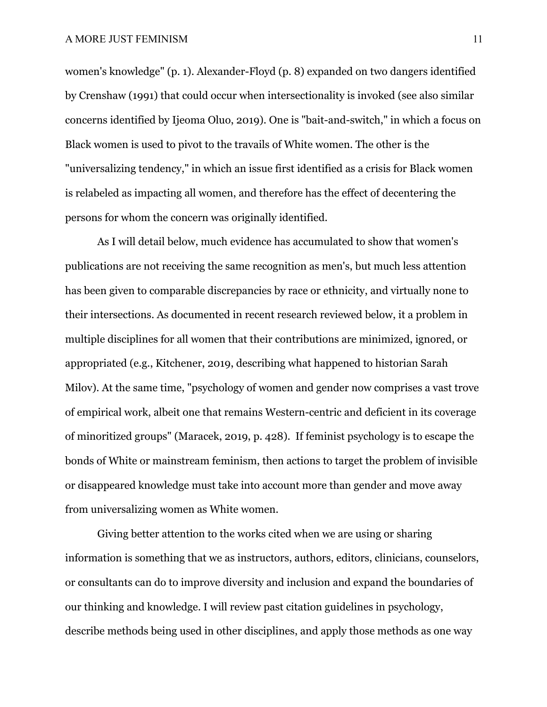women's knowledge" (p. 1). Alexander-Floyd (p. 8) expanded on two dangers identified by Crenshaw (1991) that could occur when intersectionality is invoked (see also similar concerns identified by Ijeoma Oluo, 2019). One is "bait-and-switch," in which a focus on Black women is used to pivot to the travails of White women. The other is the "universalizing tendency," in which an issue first identified as a crisis for Black women is relabeled as impacting all women, and therefore has the effect of decentering the persons for whom the concern was originally identified.

As I will detail below, much evidence has accumulated to show that women's publications are not receiving the same recognition as men's, but much less attention has been given to comparable discrepancies by race or ethnicity, and virtually none to their intersections. As documented in recent research reviewed below, it a problem in multiple disciplines for all women that their contributions are minimized, ignored, or appropriated (e.g., Kitchener, 2019, describing what happened to historian Sarah Milov). At the same time, "psychology of women and gender now comprises a vast trove of empirical work, albeit one that remains Western-centric and deficient in its coverage of minoritized groups" (Maracek, 2019, p. 428). If feminist psychology is to escape the bonds of White or mainstream feminism, then actions to target the problem of invisible or disappeared knowledge must take into account more than gender and move away from universalizing women as White women.

Giving better attention to the works cited when we are using or sharing information is something that we as instructors, authors, editors, clinicians, counselors, or consultants can do to improve diversity and inclusion and expand the boundaries of our thinking and knowledge. I will review past citation guidelines in psychology, describe methods being used in other disciplines, and apply those methods as one way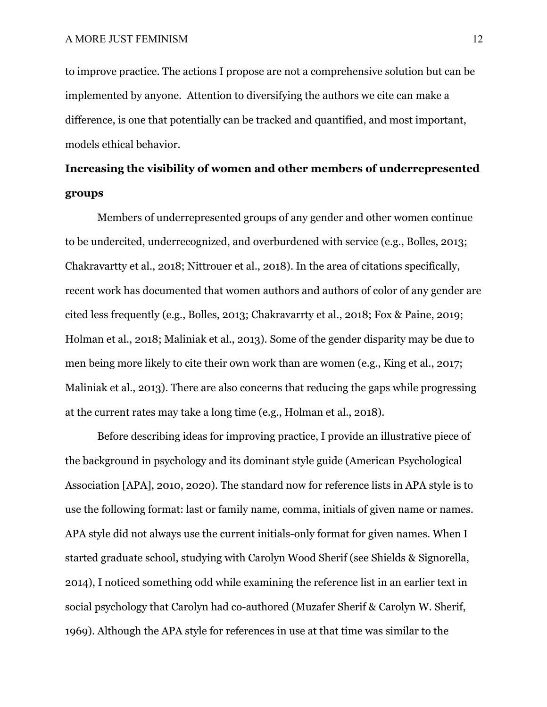to improve practice. The actions I propose are not a comprehensive solution but can be implemented by anyone. Attention to diversifying the authors we cite can make a difference, is one that potentially can be tracked and quantified, and most important, models ethical behavior.

# **Increasing the visibility of women and other members of underrepresented groups**

Members of underrepresented groups of any gender and other women continue to be undercited, underrecognized, and overburdened with service (e.g., Bolles, 2013; Chakravartty et al., 2018; Nittrouer et al., 2018). In the area of citations specifically, recent work has documented that women authors and authors of color of any gender are cited less frequently (e.g., Bolles, 2013; Chakravarrty et al., 2018; Fox & Paine, 2019; Holman et al., 2018; Maliniak et al., 2013). Some of the gender disparity may be due to men being more likely to cite their own work than are women (e.g., King et al., 2017; Maliniak et al., 2013). There are also concerns that reducing the gaps while progressing at the current rates may take a long time (e.g., Holman et al., 2018).

Before describing ideas for improving practice, I provide an illustrative piece of the background in psychology and its dominant style guide (American Psychological Association [APA], 2010, 2020). The standard now for reference lists in APA style is to use the following format: last or family name, comma, initials of given name or names. APA style did not always use the current initials-only format for given names. When I started graduate school, studying with Carolyn Wood Sherif (see Shields & Signorella, 2014), I noticed something odd while examining the reference list in an earlier text in social psychology that Carolyn had co-authored (Muzafer Sherif & Carolyn W. Sherif, 1969). Although the APA style for references in use at that time was similar to the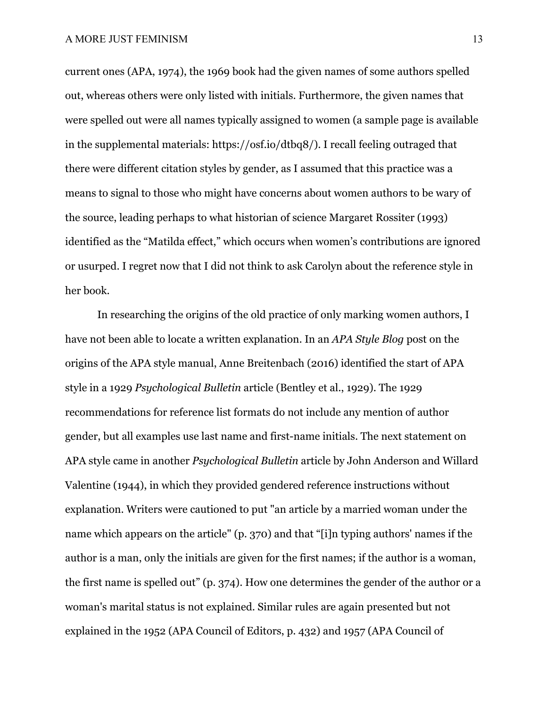current ones (APA, 1974), the 1969 book had the given names of some authors spelled out, whereas others were only listed with initials. Furthermore, the given names that were spelled out were all names typically assigned to women (a sample page is available in the supplemental materials: https://osf.io/dtbq8/). I recall feeling outraged that there were different citation styles by gender, as I assumed that this practice was a means to signal to those who might have concerns about women authors to be wary of the source, leading perhaps to what historian of science Margaret Rossiter (1993) identified as the "Matilda effect," which occurs when women's contributions are ignored or usurped. I regret now that I did not think to ask Carolyn about the reference style in her book.

In researching the origins of the old practice of only marking women authors, I have not been able to locate a written explanation. In an *APA Style Blog* post on the origins of the APA style manual, Anne Breitenbach (2016) identified the start of APA style in a 1929 *Psychological Bulletin* article (Bentley et al., 1929). The 1929 recommendations for reference list formats do not include any mention of author gender, but all examples use last name and first-name initials. The next statement on APA style came in another *Psychological Bulletin* article by John Anderson and Willard Valentine (1944), in which they provided gendered reference instructions without explanation. Writers were cautioned to put "an article by a married woman under the name which appears on the article" (p. 370) and that "[i]n typing authors' names if the author is a man, only the initials are given for the first names; if the author is a woman, the first name is spelled out" (p. 374). How one determines the gender of the author or a woman's marital status is not explained. Similar rules are again presented but not explained in the 1952 (APA Council of Editors, p. 432) and 1957 (APA Council of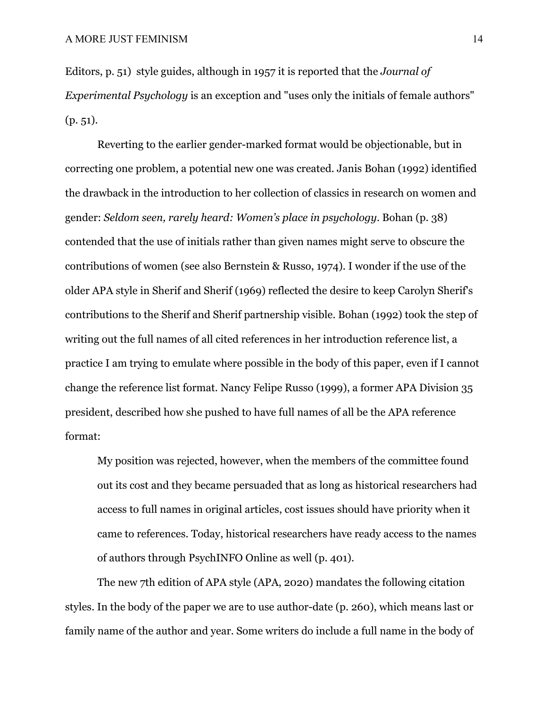Editors, p. 51) style guides, although in 1957 it is reported that the *Journal of Experimental Psychology* is an exception and "uses only the initials of female authors" (p. 51).

Reverting to the earlier gender-marked format would be objectionable, but in correcting one problem, a potential new one was created. Janis Bohan (1992) identified the drawback in the introduction to her collection of classics in research on women and gender: *Seldom seen, rarely heard: Women's place in psychology*. Bohan (p. 38) contended that the use of initials rather than given names might serve to obscure the contributions of women (see also Bernstein & Russo, 1974). I wonder if the use of the older APA style in Sherif and Sherif (1969) reflected the desire to keep Carolyn Sherif's contributions to the Sherif and Sherif partnership visible. Bohan (1992) took the step of writing out the full names of all cited references in her introduction reference list, a practice I am trying to emulate where possible in the body of this paper, even if I cannot change the reference list format. Nancy Felipe Russo (1999), a former APA Division 35 president, described how she pushed to have full names of all be the APA reference format:

My position was rejected, however, when the members of the committee found out its cost and they became persuaded that as long as historical researchers had access to full names in original articles, cost issues should have priority when it came to references. Today, historical researchers have ready access to the names of authors through PsychINFO Online as well (p. 401).

The new 7th edition of APA style (APA, 2020) mandates the following citation styles. In the body of the paper we are to use author-date (p. 260), which means last or family name of the author and year. Some writers do include a full name in the body of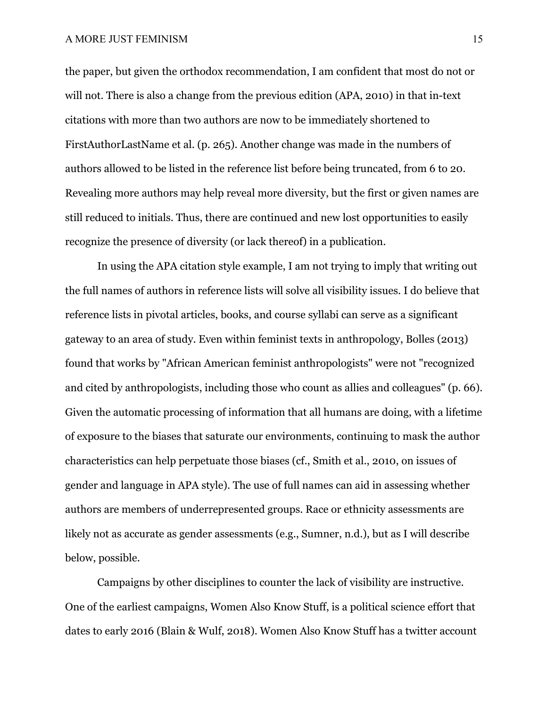the paper, but given the orthodox recommendation, I am confident that most do not or will not. There is also a change from the previous edition (APA, 2010) in that in-text citations with more than two authors are now to be immediately shortened to FirstAuthorLastName et al. (p. 265). Another change was made in the numbers of authors allowed to be listed in the reference list before being truncated, from 6 to 20. Revealing more authors may help reveal more diversity, but the first or given names are still reduced to initials. Thus, there are continued and new lost opportunities to easily recognize the presence of diversity (or lack thereof) in a publication.

In using the APA citation style example, I am not trying to imply that writing out the full names of authors in reference lists will solve all visibility issues. I do believe that reference lists in pivotal articles, books, and course syllabi can serve as a significant gateway to an area of study. Even within feminist texts in anthropology, Bolles (2013) found that works by "African American feminist anthropologists" were not "recognized and cited by anthropologists, including those who count as allies and colleagues" (p. 66). Given the automatic processing of information that all humans are doing, with a lifetime of exposure to the biases that saturate our environments, continuing to mask the author characteristics can help perpetuate those biases (cf., Smith et al., 2010, on issues of gender and language in APA style). The use of full names can aid in assessing whether authors are members of underrepresented groups. Race or ethnicity assessments are likely not as accurate as gender assessments (e.g., Sumner, n.d.), but as I will describe below, possible.

Campaigns by other disciplines to counter the lack of visibility are instructive. One of the earliest campaigns, Women Also Know Stuff, is a political science effort that dates to early 2016 (Blain & Wulf, 2018). Women Also Know Stuff has a twitter account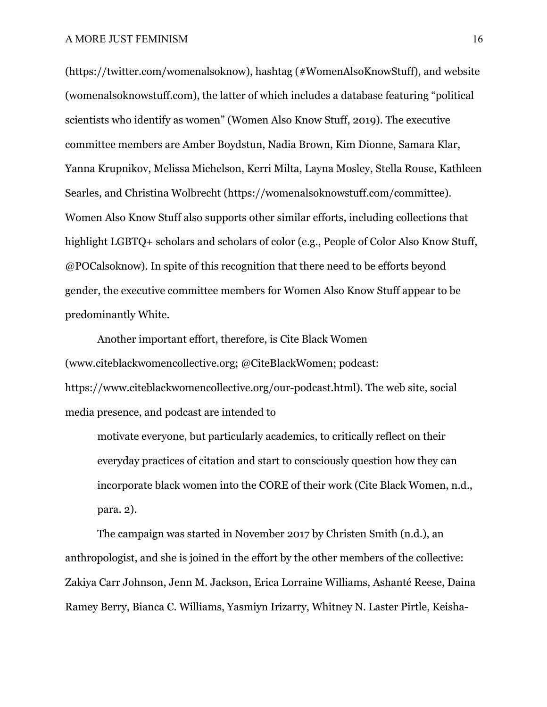(https://twitter.com/womenalsoknow), hashtag (#WomenAlsoKnowStuff), and website (womenalsoknowstuff.com), the latter of which includes a database featuring "political scientists who identify as women" (Women Also Know Stuff, 2019). The executive committee members are Amber Boydstun, Nadia Brown, Kim Dionne, Samara Klar, Yanna Krupnikov, Melissa Michelson, Kerri Milta, Layna Mosley, Stella Rouse, Kathleen Searles, and Christina Wolbrecht (https://womenalsoknowstuff.com/committee). Women Also Know Stuff also supports other similar efforts, including collections that highlight LGBTQ+ scholars and scholars of color (e.g., People of Color Also Know Stuff, @POCalsoknow). In spite of this recognition that there need to be efforts beyond gender, the executive committee members for Women Also Know Stuff appear to be predominantly White.

Another important effort, therefore, is Cite Black Women (www.citeblackwomencollective.org; @CiteBlackWomen; podcast: https://www.citeblackwomencollective.org/our-podcast.html). The web site, social media presence, and podcast are intended to

motivate everyone, but particularly academics, to critically reflect on their everyday practices of citation and start to consciously question how they can incorporate black women into the CORE of their work (Cite Black Women, n.d., para. 2).

The campaign was started in November 2017 by Christen Smith (n.d.), an anthropologist, and she is joined in the effort by the other members of the collective: Zakiya Carr Johnson, Jenn M. Jackson, Erica Lorraine Williams, Ashanté Reese, Daina Ramey Berry, Bianca C. Williams, Yasmiyn Irizarry, Whitney N. Laster Pirtle, Keisha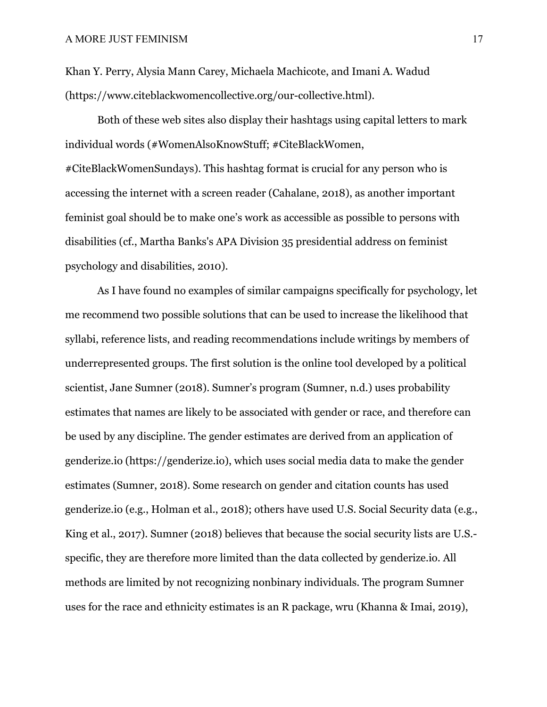Khan Y. Perry, Alysia Mann Carey, Michaela Machicote, and Imani A. Wadud (https://www.citeblackwomencollective.org/our-collective.html).

Both of these web sites also display their hashtags using capital letters to mark individual words (#WomenAlsoKnowStuff; #CiteBlackWomen, #CiteBlackWomenSundays). This hashtag format is crucial for any person who is accessing the internet with a screen reader (Cahalane, 2018), as another important feminist goal should be to make one's work as accessible as possible to persons with disabilities (cf., Martha Banks's APA Division 35 presidential address on feminist psychology and disabilities, 2010).

As I have found no examples of similar campaigns specifically for psychology, let me recommend two possible solutions that can be used to increase the likelihood that syllabi, reference lists, and reading recommendations include writings by members of underrepresented groups. The first solution is the online tool developed by a political scientist, Jane Sumner (2018). Sumner's program (Sumner, n.d.) uses probability estimates that names are likely to be associated with gender or race, and therefore can be used by any discipline. The gender estimates are derived from an application of genderize.io (https://genderize.io), which uses social media data to make the gender estimates (Sumner, 2018). Some research on gender and citation counts has used genderize.io (e.g., Holman et al., 2018); others have used U.S. Social Security data (e.g., King et al., 2017). Sumner (2018) believes that because the social security lists are U.S. specific, they are therefore more limited than the data collected by genderize.io. All methods are limited by not recognizing nonbinary individuals. The program Sumner uses for the race and ethnicity estimates is an R package, wru (Khanna & Imai, 2019),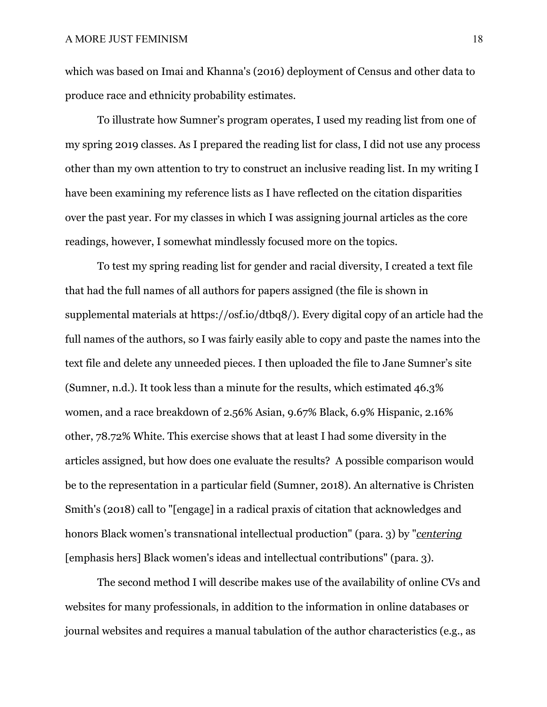which was based on Imai and Khanna's (2016) deployment of Census and other data to produce race and ethnicity probability estimates.

To illustrate how Sumner's program operates, I used my reading list from one of my spring 2019 classes. As I prepared the reading list for class, I did not use any process other than my own attention to try to construct an inclusive reading list. In my writing I have been examining my reference lists as I have reflected on the citation disparities over the past year. For my classes in which I was assigning journal articles as the core readings, however, I somewhat mindlessly focused more on the topics.

To test my spring reading list for gender and racial diversity, I created a text file that had the full names of all authors for papers assigned (the file is shown in supplemental materials at https://osf.io/dtbq8/). Every digital copy of an article had the full names of the authors, so I was fairly easily able to copy and paste the names into the text file and delete any unneeded pieces. I then uploaded the file to Jane Sumner's site (Sumner, n.d.). It took less than a minute for the results, which estimated 46.3% women, and a race breakdown of 2.56% Asian, 9.67% Black, 6.9% Hispanic, 2.16% other, 78.72% White. This exercise shows that at least I had some diversity in the articles assigned, but how does one evaluate the results? A possible comparison would be to the representation in a particular field (Sumner, 2018). An alternative is Christen Smith's (2018) call to "[engage] in a radical praxis of citation that acknowledges and honors Black women's transnational intellectual production" (para. 3) by "*centering* [emphasis hers] Black women's ideas and intellectual contributions" (para. 3).

The second method I will describe makes use of the availability of online CVs and websites for many professionals, in addition to the information in online databases or journal websites and requires a manual tabulation of the author characteristics (e.g., as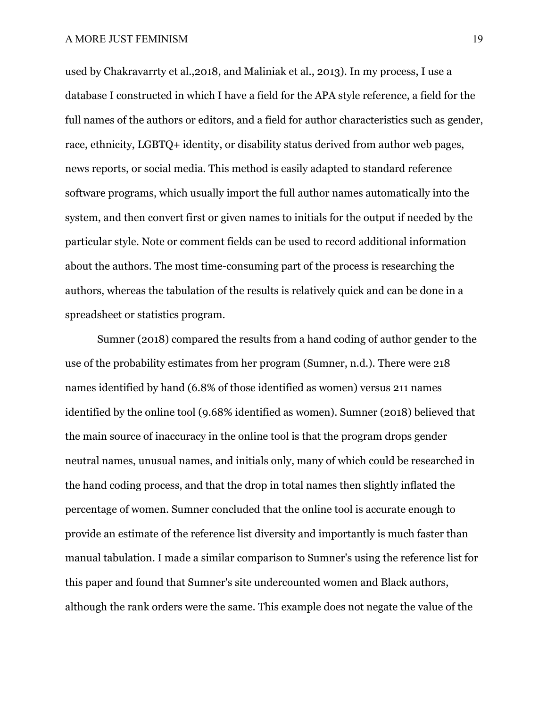used by Chakravarrty et al.,2018, and Maliniak et al., 2013). In my process, I use a database I constructed in which I have a field for the APA style reference, a field for the full names of the authors or editors, and a field for author characteristics such as gender, race, ethnicity, LGBTQ+ identity, or disability status derived from author web pages, news reports, or social media. This method is easily adapted to standard reference software programs, which usually import the full author names automatically into the system, and then convert first or given names to initials for the output if needed by the particular style. Note or comment fields can be used to record additional information about the authors. The most time-consuming part of the process is researching the authors, whereas the tabulation of the results is relatively quick and can be done in a spreadsheet or statistics program.

Sumner (2018) compared the results from a hand coding of author gender to the use of the probability estimates from her program (Sumner, n.d.). There were 218 names identified by hand (6.8% of those identified as women) versus 211 names identified by the online tool (9.68% identified as women). Sumner (2018) believed that the main source of inaccuracy in the online tool is that the program drops gender neutral names, unusual names, and initials only, many of which could be researched in the hand coding process, and that the drop in total names then slightly inflated the percentage of women. Sumner concluded that the online tool is accurate enough to provide an estimate of the reference list diversity and importantly is much faster than manual tabulation. I made a similar comparison to Sumner's using the reference list for this paper and found that Sumner's site undercounted women and Black authors, although the rank orders were the same. This example does not negate the value of the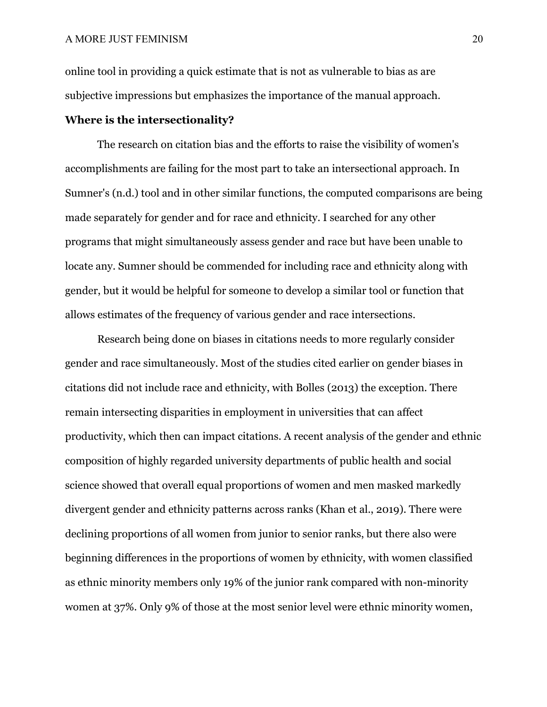online tool in providing a quick estimate that is not as vulnerable to bias as are subjective impressions but emphasizes the importance of the manual approach.

# **Where is the intersectionality?**

The research on citation bias and the efforts to raise the visibility of women's accomplishments are failing for the most part to take an intersectional approach. In Sumner's (n.d.) tool and in other similar functions, the computed comparisons are being made separately for gender and for race and ethnicity. I searched for any other programs that might simultaneously assess gender and race but have been unable to locate any. Sumner should be commended for including race and ethnicity along with gender, but it would be helpful for someone to develop a similar tool or function that allows estimates of the frequency of various gender and race intersections.

Research being done on biases in citations needs to more regularly consider gender and race simultaneously. Most of the studies cited earlier on gender biases in citations did not include race and ethnicity, with Bolles (2013) the exception. There remain intersecting disparities in employment in universities that can affect productivity, which then can impact citations. A recent analysis of the gender and ethnic composition of highly regarded university departments of public health and social science showed that overall equal proportions of women and men masked markedly divergent gender and ethnicity patterns across ranks (Khan et al., 2019). There were declining proportions of all women from junior to senior ranks, but there also were beginning differences in the proportions of women by ethnicity, with women classified as ethnic minority members only 19% of the junior rank compared with non-minority women at 37%. Only 9% of those at the most senior level were ethnic minority women,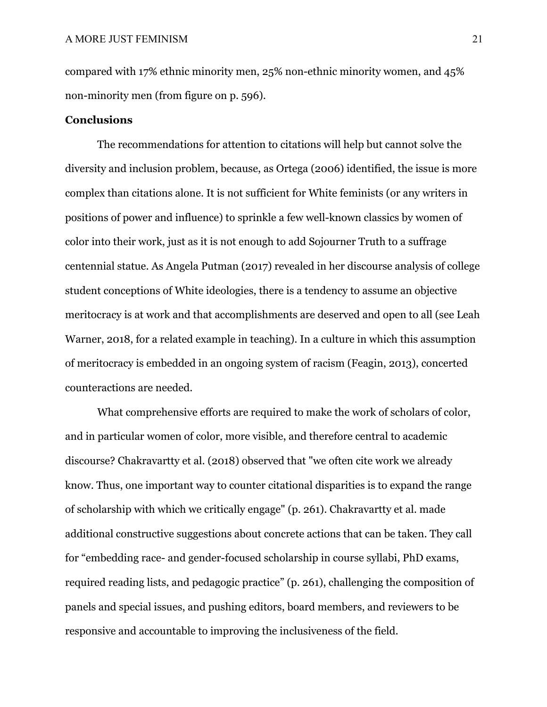compared with 17% ethnic minority men, 25% non-ethnic minority women, and 45% non-minority men (from figure on p. 596).

# **Conclusions**

The recommendations for attention to citations will help but cannot solve the diversity and inclusion problem, because, as Ortega (2006) identified, the issue is more complex than citations alone. It is not sufficient for White feminists (or any writers in positions of power and influence) to sprinkle a few well-known classics by women of color into their work, just as it is not enough to add Sojourner Truth to a suffrage centennial statue. As Angela Putman (2017) revealed in her discourse analysis of college student conceptions of White ideologies, there is a tendency to assume an objective meritocracy is at work and that accomplishments are deserved and open to all (see Leah Warner, 2018, for a related example in teaching). In a culture in which this assumption of meritocracy is embedded in an ongoing system of racism (Feagin, 2013), concerted counteractions are needed.

What comprehensive efforts are required to make the work of scholars of color, and in particular women of color, more visible, and therefore central to academic discourse? Chakravartty et al. (2018) observed that "we often cite work we already know. Thus, one important way to counter citational disparities is to expand the range of scholarship with which we critically engage" (p. 261). Chakravartty et al. made additional constructive suggestions about concrete actions that can be taken. They call for "embedding race- and gender-focused scholarship in course syllabi, PhD exams, required reading lists, and pedagogic practice" (p. 261), challenging the composition of panels and special issues, and pushing editors, board members, and reviewers to be responsive and accountable to improving the inclusiveness of the field.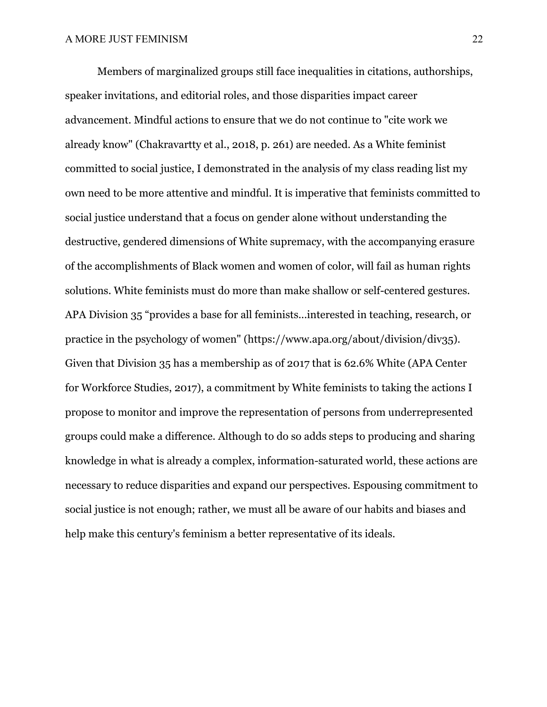Members of marginalized groups still face inequalities in citations, authorships, speaker invitations, and editorial roles, and those disparities impact career advancement. Mindful actions to ensure that we do not continue to "cite work we already know" (Chakravartty et al., 2018, p. 261) are needed. As a White feminist committed to social justice, I demonstrated in the analysis of my class reading list my own need to be more attentive and mindful. It is imperative that feminists committed to social justice understand that a focus on gender alone without understanding the destructive, gendered dimensions of White supremacy, with the accompanying erasure of the accomplishments of Black women and women of color, will fail as human rights solutions. White feminists must do more than make shallow or self-centered gestures. APA Division 35 "provides a base for all feminists...interested in teaching, research, or practice in the psychology of women" (https://www.apa.org/about/division/div35). Given that Division 35 has a membership as of 2017 that is 62.6% White (APA Center for Workforce Studies, 2017), a commitment by White feminists to taking the actions I propose to monitor and improve the representation of persons from underrepresented groups could make a difference. Although to do so adds steps to producing and sharing knowledge in what is already a complex, information-saturated world, these actions are necessary to reduce disparities and expand our perspectives. Espousing commitment to social justice is not enough; rather, we must all be aware of our habits and biases and help make this century's feminism a better representative of its ideals.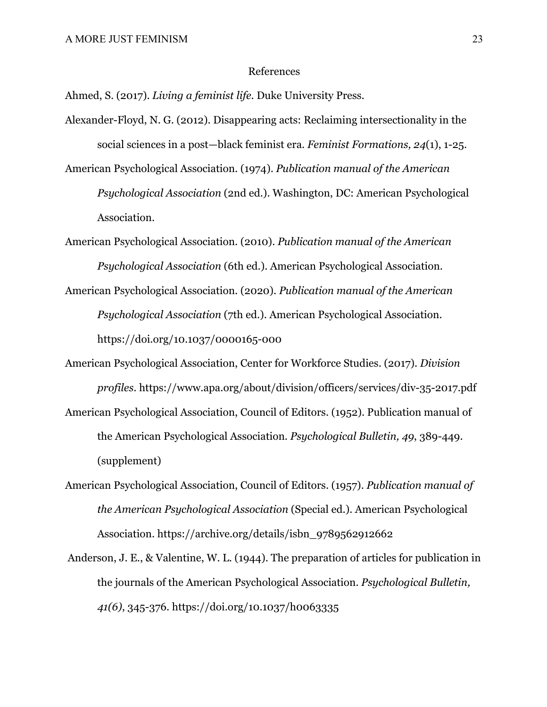#### References

Ahmed, S. (2017). *Living a feminist life*. Duke University Press.

- Alexander-Floyd, N. G. (2012). Disappearing acts: Reclaiming intersectionality in the social sciences in a post—black feminist era. *Feminist Formations, 24*(1), 1-25.
- American Psychological Association. (1974). *Publication manual of the American Psychological Association* (2nd ed.). Washington, DC: American Psychological Association.
- American Psychological Association. (2010). *Publication manual of the American Psychological Association* (6th ed.). American Psychological Association.
- American Psychological Association. (2020). *Publication manual of the American Psychological Association* (7th ed.). American Psychological Association. https://doi.org/10.1037/0000165-000
- American Psychological Association, Center for Workforce Studies. (2017). *Division profiles*. https://www.apa.org/about/division/officers/services/div-35-2017.pdf
- American Psychological Association, Council of Editors. (1952). Publication manual of the American Psychological Association. *Psychological Bulletin, 49*, 389-449. (supplement)
- American Psychological Association, Council of Editors. (1957). *Publication manual of the American Psychological Association* (Special ed.). American Psychological Association. https://archive.org/details/isbn\_9789562912662
- Anderson, J. E., & Valentine, W. L. (1944). The preparation of articles for publication in the journals of the American Psychological Association. *Psychological Bulletin, 41(6)*, 345-376. https://doi.org/10.1037/h0063335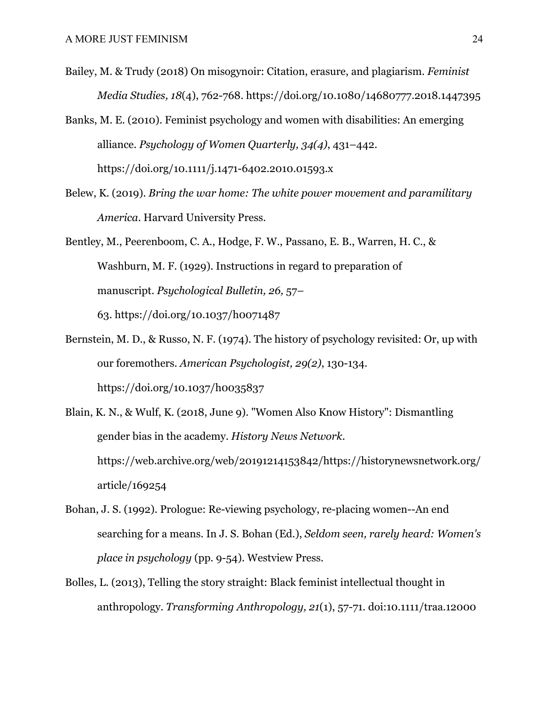- Bailey, M. & Trudy (2018) On misogynoir: Citation, erasure, and plagiarism. *Feminist Media Studies, 18*(4), 762-768. https://doi.org/10.1080/14680777.2018.1447395
- Banks, M. E. (2010). Feminist psychology and women with disabilities: An emerging alliance. *Psychology of Women Quarterly, 34(4)*, 431–442. https://doi.org/10.1111/j.1471-6402.2010.01593.x
- Belew, K. (2019). *Bring the war home: The white power movement and paramilitary America*. Harvard University Press.
- Bentley, M., Peerenboom, C. A., Hodge, F. W., Passano, E. B., Warren, H. C., & Washburn, M. F. (1929). Instructions in regard to preparation of manuscript. *Psychological Bulletin, 26,* 57– 63. https://doi.org/10.1037/h0071487
- Bernstein, M. D., & Russo, N. F. (1974). The history of psychology revisited: Or, up with our foremothers. *American Psychologist, 29(2)*, 130-134. https://doi.org/10.1037/h0035837
- Blain, K. N., & Wulf, K. (2018, June 9). "Women Also Know History": Dismantling gender bias in the academy. *History News Network*. https://web.archive.org/web/20191214153842/https://historynewsnetwork.org/ article/169254
- Bohan, J. S. (1992). Prologue: Re-viewing psychology, re-placing women--An end searching for a means. In J. S. Bohan (Ed.), *Seldom seen, rarely heard: Women's place in psychology* (pp. 9-54). Westview Press.
- Bolles, L. (2013), Telling the story straight: Black feminist intellectual thought in anthropology. *Transforming Anthropology, 21*(1), 57-71. doi:10.1111/traa.12000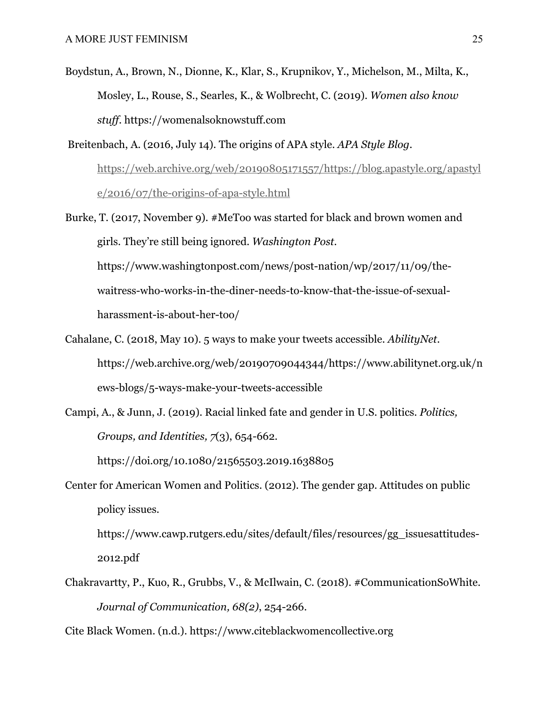- Boydstun, A., Brown, N., Dionne, K., Klar, S., Krupnikov, Y., Michelson, M., Milta, K., Mosley, L., Rouse, S., Searles, K., & Wolbrecht, C. (2019). *Women also know stuff*. https://womenalsoknowstuff.com
- Breitenbach, A. (2016, July 14). The origins of APA style. *APA Style Blog*. https://web.archive.org/web/20190805171557/https://blog.apastyle.org/apastyl e/2016/07/the-origins-of-apa-style.html
- Burke, T. (2017, November 9). #MeToo was started for black and brown women and girls. They're still being ignored. *Washington Post*. https://www.washingtonpost.com/news/post-nation/wp/2017/11/09/thewaitress-who-works-in-the-diner-needs-to-know-that-the-issue-of-sexualharassment-is-about-her-too/
- Cahalane, C. (2018, May 10). 5 ways to make your tweets accessible. *AbilityNet*. https://web.archive.org/web/20190709044344/https://www.abilitynet.org.uk/n ews-blogs/5-ways-make-your-tweets-accessible
- Campi, A., & Junn, J. (2019). Racial linked fate and gender in U.S. politics. *Politics, Groups, and Identities, 7*(3), 654-662.

https://doi.org/10.1080/21565503.2019.1638805

Center for American Women and Politics. (2012). The gender gap. Attitudes on public policy issues.

https://www.cawp.rutgers.edu/sites/default/files/resources/gg\_issuesattitudes-2012.pdf

Chakravartty, P., Kuo, R., Grubbs, V., & McIlwain, C. (2018). #CommunicationSoWhite. *Journal of Communication, 68(2)*, 254-266.

Cite Black Women. (n.d.). https://www.citeblackwomencollective.org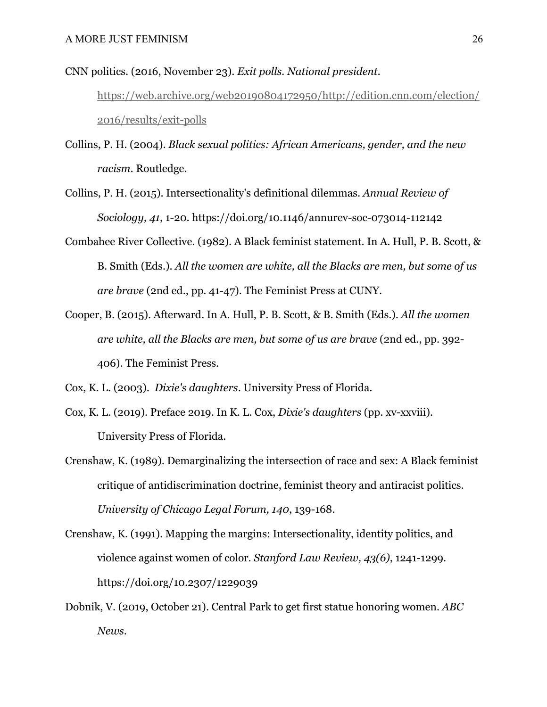CNN politics. (2016, November 23). *Exit polls. National president.*

https://web.archive.org/web20190804172950/http://edition.cnn.com/election/ 2016/results/exit-polls

- Collins, P. H. (2004). *Black sexual politics: African Americans, gender, and the new racism*. Routledge.
- Collins, P. H. (2015). Intersectionality's definitional dilemmas. *Annual Review of Sociology, 41*, 1-20. https://doi.org/10.1146/annurev-soc-073014-112142
- Combahee River Collective. (1982). A Black feminist statement. In A. Hull, P. B. Scott, & B. Smith (Eds.). *All the women are white, all the Blacks are men, but some of us are brave* (2nd ed., pp. 41-47). The Feminist Press at CUNY.
- Cooper, B. (2015). Afterward. In A. Hull, P. B. Scott, & B. Smith (Eds.). *All the women are white, all the Blacks are men, but some of us are brave* (2nd ed., pp. 392- 406). The Feminist Press.

Cox, K. L. (2003). *Dixie's daughters*. University Press of Florida.

- Cox, K. L. (2019). Preface 2019. In K. L. Cox, *Dixie's daughters* (pp. xv-xxviii). University Press of Florida.
- Crenshaw, K. (1989). Demarginalizing the intersection of race and sex: A Black feminist critique of antidiscrimination doctrine, feminist theory and antiracist politics. *University of Chicago Legal Forum, 140*, 139-168.
- Crenshaw, K. (1991). Mapping the margins: Intersectionality, identity politics, and violence against women of color. *Stanford Law Review, 43(6)*, 1241-1299. https://doi.org/10.2307/1229039
- Dobnik, V. (2019, October 21). Central Park to get first statue honoring women. *ABC News*.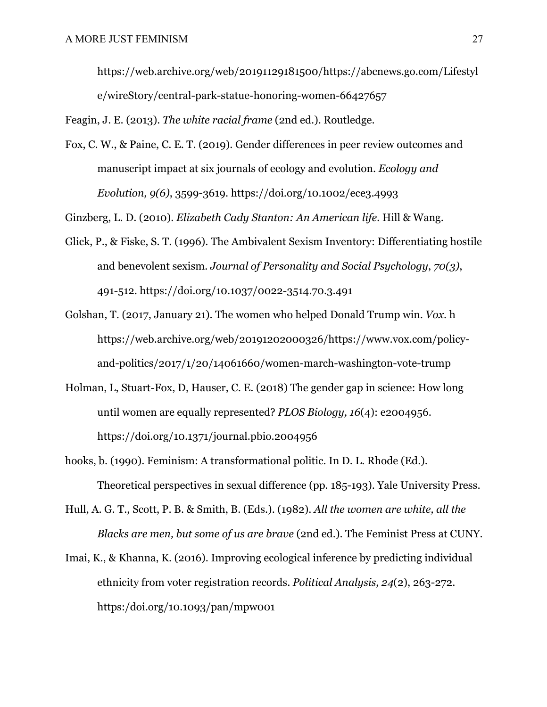https://web.archive.org/web/20191129181500/https://abcnews.go.com/Lifestyl e/wireStory/central-park-statue-honoring-women-66427657

Feagin, J. E. (2013). *The white racial frame* (2nd ed.). Routledge.

Fox, C. W., & Paine, C. E. T. (2019). Gender differences in peer review outcomes and manuscript impact at six journals of ecology and evolution. *Ecology and Evolution, 9(6)*, 3599-3619. https://doi.org/10.1002/ece3.4993

Ginzberg, L. D. (2010). *Elizabeth Cady Stanton: An American life.* Hill & Wang.

- Glick, P., & Fiske, S. T. (1996). The Ambivalent Sexism Inventory: Differentiating hostile and benevolent sexism. *Journal of Personality and Social Psychology*, *70(3)*, 491-512. https://doi.org/10.1037/0022-3514.70.3.491
- Golshan, T. (2017, January 21). The women who helped Donald Trump win. *Vox*. h https://web.archive.org/web/20191202000326/https://www.vox.com/policyand-politics/2017/1/20/14061660/women-march-washington-vote-trump
- Holman, L, Stuart-Fox, D, Hauser, C. E. (2018) The gender gap in science: How long until women are equally represented? *PLOS Biology, 16*(4): e2004956. https://doi.org/10.1371/journal.pbio.2004956
- hooks, b. (1990). Feminism: A transformational politic. In D. L. Rhode (Ed.). Theoretical perspectives in sexual difference (pp. 185-193). Yale University Press.
- Hull, A. G. T., Scott, P. B. & Smith, B. (Eds.). (1982). *All the women are white, all the Blacks are men, but some of us are brave* (2nd ed.). The Feminist Press at CUNY.
- Imai, K., & Khanna, K. (2016). Improving ecological inference by predicting individual ethnicity from voter registration records. *Political Analysis, 24*(2), 263-272. https:/doi.org/10.1093/pan/mpw001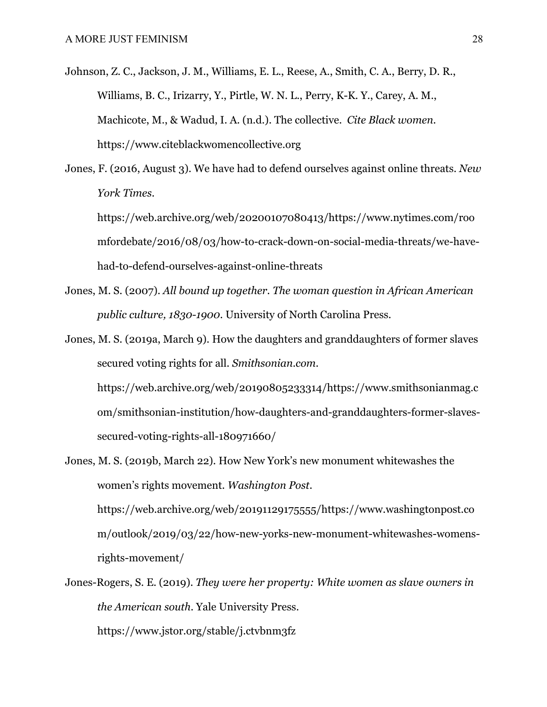- Johnson, Z. C., Jackson, J. M., Williams, E. L., Reese, A., Smith, C. A., Berry, D. R., Williams, B. C., Irizarry, Y., Pirtle, W. N. L., Perry, K-K. Y., Carey, A. M., Machicote, M., & Wadud, I. A. (n.d.). The collective. *Cite Black women*. https://www.citeblackwomencollective.org
- Jones, F. (2016, August 3). We have had to defend ourselves against online threats. *New York Times*.

https://web.archive.org/web/20200107080413/https://www.nytimes.com/roo mfordebate/2016/08/03/how-to-crack-down-on-social-media-threats/we-havehad-to-defend-ourselves-against-online-threats

Jones, M. S. (2007). *All bound up together. The woman question in African American public culture, 1830-1900*. University of North Carolina Press.

Jones, M. S. (2019a, March 9). How the daughters and granddaughters of former slaves secured voting rights for all. *Smithsonian.com*. https://web.archive.org/web/20190805233314/https://www.smithsonianmag.c om/smithsonian-institution/how-daughters-and-granddaughters-former-slavessecured-voting-rights-all-180971660/

- Jones, M. S. (2019b, March 22). How New York's new monument whitewashes the women's rights movement. *Washington Post*. https://web.archive.org/web/20191129175555/https://www.washingtonpost.co m/outlook/2019/03/22/how-new-yorks-new-monument-whitewashes-womensrights-movement/
- Jones-Rogers, S. E. (2019). *They were her property: White women as slave owners in the American south*. Yale University Press. https://www.jstor.org/stable/j.ctvbnm3fz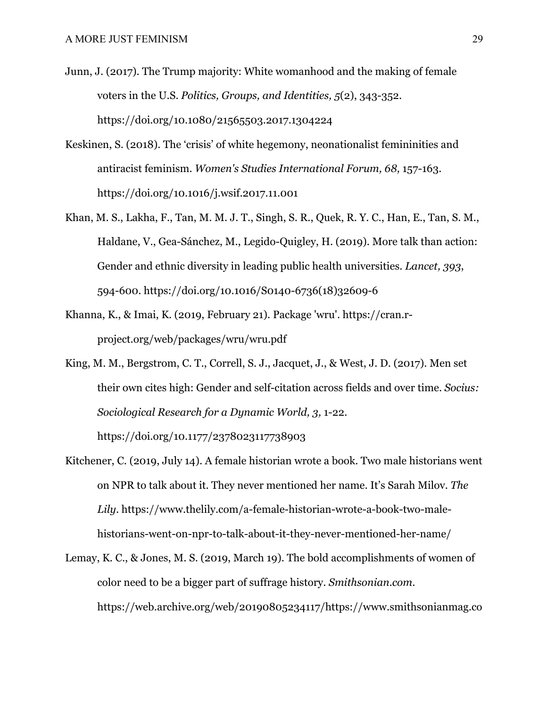- Junn, J. (2017). The Trump majority: White womanhood and the making of female voters in the U.S. *Politics, Groups, and Identities, 5*(2), 343-352. https://doi.org/10.1080/21565503.2017.1304224
- Keskinen, S. (2018). The 'crisis' of white hegemony, neonationalist femininities and antiracist feminism. *Women's Studies International Forum, 68,* 157-163. https://doi.org/10.1016/j.wsif.2017.11.001
- Khan, M. S., Lakha, F., Tan, M. M. J. T., Singh, S. R., Quek, R. Y. C., Han, E., Tan, S. M., Haldane, V., Gea-Sánchez, M., Legido-Quigley, H. (2019). More talk than action: Gender and ethnic diversity in leading public health universities. *Lancet, 393*, 594-600. https://doi.org/10.1016/S0140-6736(18)32609-6
- Khanna, K., & Imai, K. (2019, February 21). Package 'wru'. https://cran.rproject.org/web/packages/wru/wru.pdf
- King, M. M., Bergstrom, C. T., Correll, S. J., Jacquet, J., & West, J. D. (2017). Men set their own cites high: Gender and self-citation across fields and over time. *Socius: Sociological Research for a Dynamic World, 3,* 1-22. https://doi.org/10.1177/2378023117738903
- Kitchener, C. (2019, July 14). A female historian wrote a book. Two male historians went on NPR to talk about it. They never mentioned her name. It's Sarah Milov. *The Lily*. https://www.thelily.com/a-female-historian-wrote-a-book-two-malehistorians-went-on-npr-to-talk-about-it-they-never-mentioned-her-name/
- Lemay, K. C., & Jones, M. S. (2019, March 19). The bold accomplishments of women of color need to be a bigger part of suffrage history. *Smithsonian.com*. https://web.archive.org/web/20190805234117/https://www.smithsonianmag.co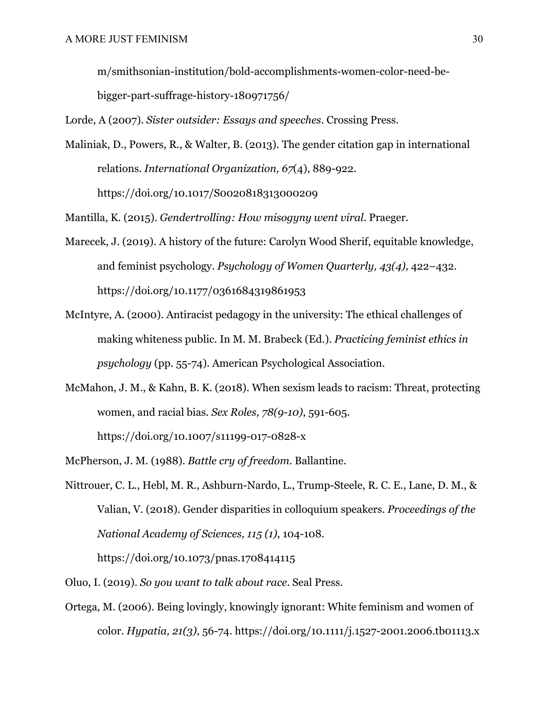m/smithsonian-institution/bold-accomplishments-women-color-need-be-

bigger-part-suffrage-history-180971756/

Lorde, A (2007). *Sister outsider: Essays and speeches*. Crossing Press.

Maliniak, D., Powers, R., & Walter, B. (2013). The gender citation gap in international relations. *International Organization, 67*(4), 889-922. https://doi.org/10.1017/S0020818313000209

Mantilla, K. (2015). *Gendertrolling: How misogyny went viral*. Praeger.

- Marecek, J. (2019). A history of the future: Carolyn Wood Sherif, equitable knowledge, and feminist psychology. *Psychology of Women Quarterly, 43(4),* 422–432. https://doi.org/10.1177/0361684319861953
- McIntyre, A. (2000). Antiracist pedagogy in the university: The ethical challenges of making whiteness public. In M. M. Brabeck (Ed.). *Practicing feminist ethics in psychology* (pp. 55-74)*.* American Psychological Association.
- McMahon, J. M., & Kahn, B. K. (2018). When sexism leads to racism: Threat, protecting women, and racial bias. *Sex Roles, 78(9-10)*, 591-605. https://doi.org/10.1007/s11199-017-0828-x
- McPherson, J. M. (1988). *Battle cry of freedom*. Ballantine.
- Nittrouer, C. L., Hebl, M. R., Ashburn-Nardo, L., Trump-Steele, R. C. E., Lane, D. M., & Valian, V. (2018). Gender disparities in colloquium speakers. *Proceedings of the National Academy of Sciences, 115 (1)*, 104-108.

https://doi.org/10.1073/pnas.1708414115

- Oluo, I. (2019). *So you want to talk about race*. Seal Press.
- Ortega, M. (2006). Being lovingly, knowingly ignorant: White feminism and women of color. *Hypatia, 21(3)*, 56-74. https://doi.org/10.1111/j.1527-2001.2006.tb01113.x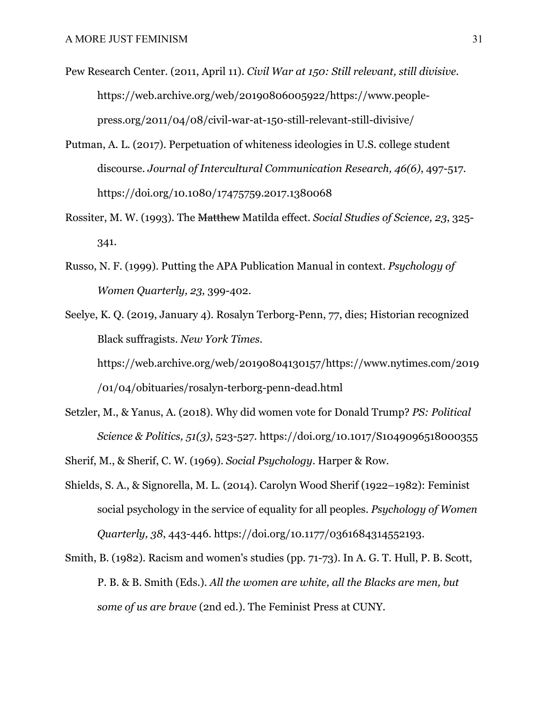Pew Research Center. (2011, April 11). *Civil War at 150: Still relevant, still divisive.* https://web.archive.org/web/20190806005922/https://www.peoplepress.org/2011/04/08/civil-war-at-150-still-relevant-still-divisive/

- Putman, A. L. (2017). Perpetuation of whiteness ideologies in U.S. college student discourse. *Journal of Intercultural Communication Research, 46(6)*, 497-517. https://doi.org/10.1080/17475759.2017.1380068
- Rossiter, M. W. (1993). The Matthew Matilda effect. *Social Studies of Science, 23*, 325- 341.
- Russo, N. F. (1999). Putting the APA Publication Manual in context. *Psychology of Women Quarterly, 23,* 399-402.
- Seelye, K. Q. (2019, January 4). Rosalyn Terborg-Penn, 77, dies; Historian recognized Black suffragists. *New York Times*. https://web.archive.org/web/20190804130157/https://www.nytimes.com/2019 /01/04/obituaries/rosalyn-terborg-penn-dead.html
- Setzler, M., & Yanus, A. (2018). Why did women vote for Donald Trump? *PS: Political Science & Politics, 51(3)*, 523-527. https://doi.org/10.1017/S1049096518000355
- Sherif, M., & Sherif, C. W. (1969). *Social Psychology*. Harper & Row.
- Shields, S. A., & Signorella, M. L. (2014). Carolyn Wood Sherif (1922–1982): Feminist social psychology in the service of equality for all peoples. *Psychology of Women Quarterly, 38*, 443-446. https://doi.org/10.1177/0361684314552193.
- Smith, B. (1982). Racism and women's studies (pp. 71-73). In A. G. T. Hull, P. B. Scott, P. B. & B. Smith (Eds.). *All the women are white, all the Blacks are men, but some of us are brave* (2nd ed.). The Feminist Press at CUNY.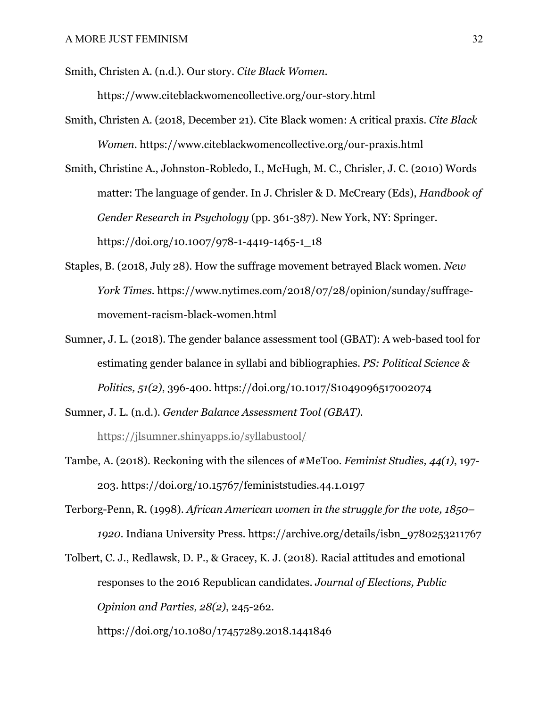Smith, Christen A. (n.d.). Our story. *Cite Black Women*. https://www.citeblackwomencollective.org/our-story.html

- Smith, Christen A. (2018, December 21). Cite Black women: A critical praxis. *Cite Black Women*. https://www.citeblackwomencollective.org/our-praxis.html
- Smith, Christine A., Johnston-Robledo, I., McHugh, M. C., Chrisler, J. C. (2010) Words matter: The language of gender. In J. Chrisler & D. McCreary (Eds), *Handbook of Gender Research in Psychology* (pp. 361-387). New York, NY: Springer. https://doi.org/10.1007/978-1-4419-1465-1\_18
- Staples, B. (2018, July 28). How the suffrage movement betrayed Black women. *New York Times.* https://www.nytimes.com/2018/07/28/opinion/sunday/suffragemovement-racism-black-women.html
- Sumner, J. L. (2018). The gender balance assessment tool (GBAT): A web-based tool for estimating gender balance in syllabi and bibliographies. *PS: Political Science & Politics, 51(2)*, 396-400. https://doi.org/10.1017/S1049096517002074
- Sumner, J. L. (n.d.). *Gender Balance Assessment Tool (GBAT).*  https://jlsumner.shinyapps.io/syllabustool/
- Tambe, A. (2018). Reckoning with the silences of #MeToo. *Feminist Studies, 44(1)*, 197- 203. https://doi.org/10.15767/feministstudies.44.1.0197
- Terborg-Penn, R. (1998). *African American women in the struggle for the vote, 1850– 1920*. Indiana University Press. https://archive.org/details/isbn\_9780253211767

Tolbert, C. J., Redlawsk, D. P., & Gracey, K. J. (2018). Racial attitudes and emotional responses to the 2016 Republican candidates. *Journal of Elections, Public Opinion and Parties, 28(2)*, 245-262. https://doi.org/10.1080/17457289.2018.1441846